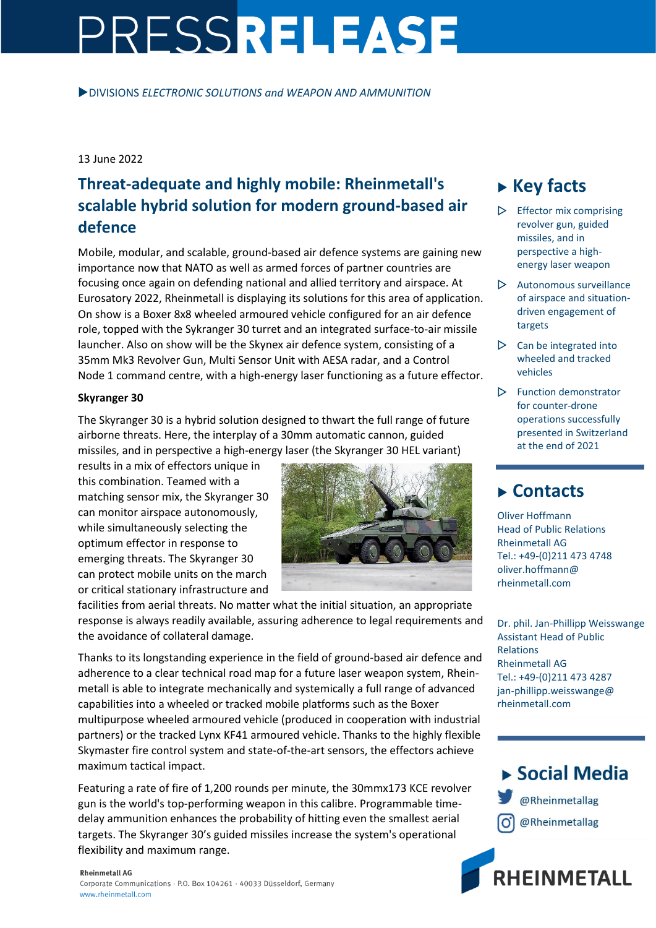# PRESSRELEASE

DIVISIONS *ELECTRONIC SOLUTIONS and WEAPON AND AMMUNITION*

### 13 June 2022

# **Threat-adequate and highly mobile: Rheinmetall's scalable hybrid solution for modern ground-based air defence**

Mobile, modular, and scalable, ground-based air defence systems are gaining new importance now that NATO as well as armed forces of partner countries are focusing once again on defending national and allied territory and airspace. At Eurosatory 2022, Rheinmetall is displaying its solutions for this area of application. On show is a Boxer 8x8 wheeled armoured vehicle configured for an air defence role, topped with the Sykranger 30 turret and an integrated surface-to-air missile launcher. Also on show will be the Skynex air defence system, consisting of a 35mm Mk3 Revolver Gun, Multi Sensor Unit with AESA radar, and a Control Node 1 command centre, with a high-energy laser functioning as a future effector.

### **Skyranger 30**

The Skyranger 30 is a hybrid solution designed to thwart the full range of future airborne threats. Here, the interplay of a 30mm automatic cannon, guided missiles, and in perspective a high-energy laser (the Skyranger 30 HEL variant)

results in a mix of effectors unique in this combination. Teamed with a matching sensor mix, the Skyranger 30 can monitor airspace autonomously, while simultaneously selecting the optimum effector in response to emerging threats. The Skyranger 30 can protect mobile units on the march or critical stationary infrastructure and



facilities from aerial threats. No matter what the initial situation, an appropriate response is always readily available, assuring adherence to legal requirements and the avoidance of collateral damage.

Thanks to its longstanding experience in the field of ground-based air defence and adherence to a clear technical road map for a future laser weapon system, Rheinmetall is able to integrate mechanically and systemically a full range of advanced capabilities into a wheeled or tracked mobile platforms such as the Boxer multipurpose wheeled armoured vehicle (produced in cooperation with industrial partners) or the tracked Lynx KF41 armoured vehicle. Thanks to the highly flexible Skymaster fire control system and state-of-the-art sensors, the effectors achieve maximum tactical impact.

Featuring a rate of fire of 1,200 rounds per minute, the 30mmx173 KCE revolver gun is the world's top-performing weapon in this calibre. Programmable timedelay ammunition enhances the probability of hitting even the smallest aerial targets. The Skyranger 30's guided missiles increase the system's operational flexibility and maximum range.

# **Key facts**

- Effector mix comprising revolver gun, guided missiles, and in perspective a highenergy laser weapon
- $\triangleright$  Autonomous surveillance of airspace and situationdriven engagement of targets
- $\triangleright$  Can be integrated into wheeled and tracked vehicles
- $\triangleright$  Function demonstrator for counter-drone operations successfully presented in Switzerland at the end of 2021

## **Contacts**

Oliver Hoffmann Head of Public Relations Rheinmetall AG Tel.: +49-(0)211 473 4748 oliver.hoffmann@ rheinmetall.com

Dr. phil. Jan-Phillipp Weisswange Assistant Head of Public Relations Rheinmetall AG Tel.: +49-(0)211 473 4287 jan-phillipp.weisswange@ rheinmetall.com

▶ Social Media @Rheinmetallag @Rheinmetallag



#### **Rheinmetall AG**

Corporate Communications · P.O. Box 104261 · 40033 Düsseldorf, Germany www.rheinmetall.com